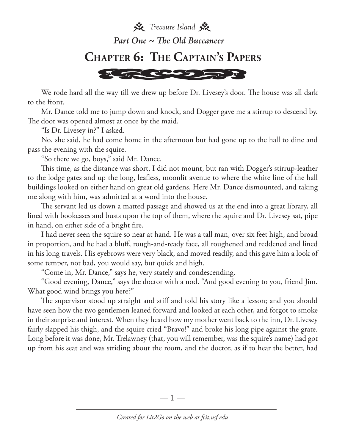

We rode hard all the way till we drew up before Dr. Livesey's door. The house was all dark to the front.

Mr. Dance told me to jump down and knock, and Dogger gave me a stirrup to descend by. The door was opened almost at once by the maid.

"Is Dr. Livesey in?" I asked.

No, she said, he had come home in the afternoon but had gone up to the hall to dine and pass the evening with the squire.

"So there we go, boys," said Mr. Dance.

This time, as the distance was short, I did not mount, but ran with Dogger's stirrup-leather to the lodge gates and up the long, leafless, moonlit avenue to where the white line of the hall buildings looked on either hand on great old gardens. Here Mr. Dance dismounted, and taking me along with him, was admitted at a word into the house.

The servant led us down a matted passage and showed us at the end into a great library, all lined with bookcases and busts upon the top of them, where the squire and Dr. Livesey sat, pipe in hand, on either side of a bright fire.

I had never seen the squire so near at hand. He was a tall man, over six feet high, and broad in proportion, and he had a bluff, rough-and-ready face, all roughened and reddened and lined in his long travels. His eyebrows were very black, and moved readily, and this gave him a look of some temper, not bad, you would say, but quick and high.

"Come in, Mr. Dance," says he, very stately and condescending.

"Good evening, Dance," says the doctor with a nod. "And good evening to you, friend Jim. What good wind brings you here?"

The supervisor stood up straight and stiff and told his story like a lesson; and you should have seen how the two gentlemen leaned forward and looked at each other, and forgot to smoke in their surprise and interest. When they heard how my mother went back to the inn, Dr. Livesey fairly slapped his thigh, and the squire cried "Bravo!" and broke his long pipe against the grate. Long before it was done, Mr. Trelawney (that, you will remember, was the squire's name) had got up from his seat and was striding about the room, and the doctor, as if to hear the better, had

—  $\mathbb{1}$  —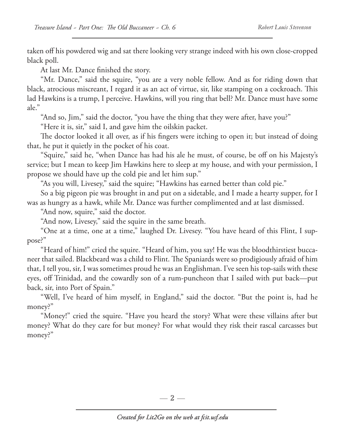taken off his powdered wig and sat there looking very strange indeed with his own close-cropped black poll.

At last Mr. Dance finished the story.

"Mr. Dance," said the squire, "you are a very noble fellow. And as for riding down that black, atrocious miscreant, I regard it as an act of virtue, sir, like stamping on a cockroach. This lad Hawkins is a trump, I perceive. Hawkins, will you ring that bell? Mr. Dance must have some ale."

"And so, Jim," said the doctor, "you have the thing that they were after, have you?"

"Here it is, sir," said I, and gave him the oilskin packet.

The doctor looked it all over, as if his fingers were itching to open it; but instead of doing that, he put it quietly in the pocket of his coat.

"Squire," said he, "when Dance has had his ale he must, of course, be off on his Majesty's service; but I mean to keep Jim Hawkins here to sleep at my house, and with your permission, I propose we should have up the cold pie and let him sup."

"As you will, Livesey," said the squire; "Hawkins has earned better than cold pie."

So a big pigeon pie was brought in and put on a sidetable, and I made a hearty supper, for I was as hungry as a hawk, while Mr. Dance was further complimented and at last dismissed.

"And now, squire," said the doctor.

"And now, Livesey," said the squire in the same breath.

"One at a time, one at a time," laughed Dr. Livesey. "You have heard of this Flint, I suppose?"

"Heard of him!" cried the squire. "Heard of him, you say! He was the bloodthirstiest buccaneer that sailed. Blackbeard was a child to Flint. The Spaniards were so prodigiously afraid of him that, I tell you, sir, I was sometimes proud he was an Englishman. I've seen his top-sails with these eyes, off Trinidad, and the cowardly son of a rum-puncheon that I sailed with put back—put back, sir, into Port of Spain."

"Well, I've heard of him myself, in England," said the doctor. "But the point is, had he money?"

"Money!" cried the squire. "Have you heard the story? What were these villains after but money? What do they care for but money? For what would they risk their rascal carcasses but money?"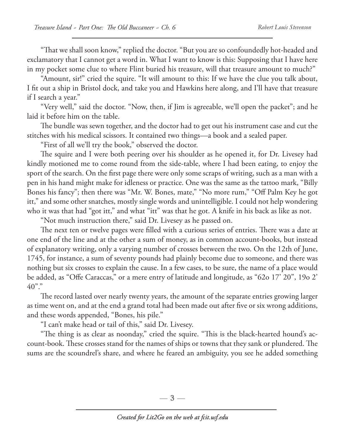"That we shall soon know," replied the doctor. "But you are so confoundedly hot-headed and exclamatory that I cannot get a word in. What I want to know is this: Supposing that I have here in my pocket some clue to where Flint buried his treasure, will that treasure amount to much?"

"Amount, sir!" cried the squire. "It will amount to this: If we have the clue you talk about, I fit out a ship in Bristol dock, and take you and Hawkins here along, and I'll have that treasure if I search a year."

"Very well," said the doctor. "Now, then, if Jim is agreeable, we'll open the packet"; and he laid it before him on the table.

The bundle was sewn together, and the doctor had to get out his instrument case and cut the stitches with his medical scissors. It contained two things—a book and a sealed paper.

"First of all we'll try the book," observed the doctor.

The squire and I were both peering over his shoulder as he opened it, for Dr. Livesey had kindly motioned me to come round from the side-table, where I had been eating, to enjoy the sport of the search. On the first page there were only some scraps of writing, such as a man with a pen in his hand might make for idleness or practice. One was the same as the tattoo mark, "Billy Bones his fancy"; then there was "Mr. W. Bones, mate," "No more rum," "Off Palm Key he got itt," and some other snatches, mostly single words and unintelligible. I could not help wondering who it was that had "got itt," and what "itt" was that he got. A knife in his back as like as not.

"Not much instruction there," said Dr. Livesey as he passed on.

The next ten or twelve pages were filled with a curious series of entries. There was a date at one end of the line and at the other a sum of money, as in common account-books, but instead of explanatory writing, only a varying number of crosses between the two. On the 12th of June, 1745, for instance, a sum of seventy pounds had plainly become due to someone, and there was nothing but six crosses to explain the cause. In a few cases, to be sure, the name of a place would be added, as "Offe Caraccas," or a mere entry of latitude and longitude, as "62o 17' 20", 19o 2'  $40$ "."

The record lasted over nearly twenty years, the amount of the separate entries growing larger as time went on, and at the end a grand total had been made out after five or six wrong additions, and these words appended, "Bones, his pile."

"I can't make head or tail of this," said Dr. Livesey.

"The thing is as clear as noonday," cried the squire. "This is the black-hearted hound's account-book. These crosses stand for the names of ships or towns that they sank or plundered. The sums are the scoundrel's share, and where he feared an ambiguity, you see he added something

—  $3-$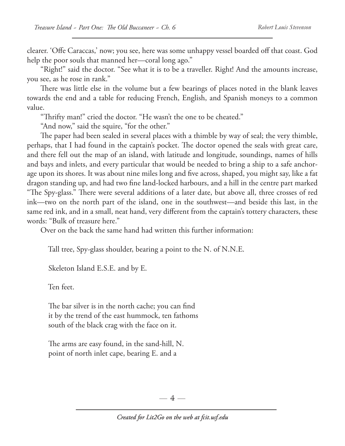clearer. 'Offe Caraccas,' now; you see, here was some unhappy vessel boarded off that coast. God help the poor souls that manned her—coral long ago."

"Right!" said the doctor. "See what it is to be a traveller. Right! And the amounts increase, you see, as he rose in rank."

There was little else in the volume but a few bearings of places noted in the blank leaves towards the end and a table for reducing French, English, and Spanish moneys to a common value.

"Thrifty man!" cried the doctor. "He wasn't the one to be cheated."

"And now," said the squire, "for the other."

The paper had been sealed in several places with a thimble by way of seal; the very thimble, perhaps, that I had found in the captain's pocket. The doctor opened the seals with great care, and there fell out the map of an island, with latitude and longitude, soundings, names of hills and bays and inlets, and every particular that would be needed to bring a ship to a safe anchorage upon its shores. It was about nine miles long and five across, shaped, you might say, like a fat dragon standing up, and had two fine land-locked harbours, and a hill in the centre part marked "The Spy-glass." There were several additions of a later date, but above all, three crosses of red ink—two on the north part of the island, one in the southwest—and beside this last, in the same red ink, and in a small, neat hand, very different from the captain's tottery characters, these words: "Bulk of treasure here."

Over on the back the same hand had written this further information:

Tall tree, Spy-glass shoulder, bearing a point to the N. of N.N.E.

Skeleton Island E.S.E. and by E.

Ten feet.

 The bar silver is in the north cache; you can find it by the trend of the east hummock, ten fathoms south of the black crag with the face on it.

 The arms are easy found, in the sand-hill, N. point of north inlet cape, bearing E. and a

 $-4-$